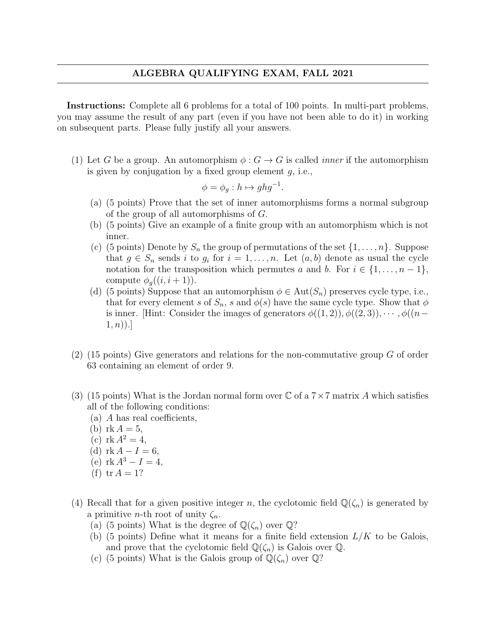Instructions: Complete all 6 problems for a total of 100 points. In multi-part problems, you may assume the result of any part (even if you have not been able to do it) in working on subsequent parts. Please fully justify all your answers.

(1) Let G be a group. An automorphism  $\phi: G \to G$  is called *inner* if the automorphism is given by conjugation by a fixed group element  $q$ , i.e.,

$$
\phi = \phi_g : h \mapsto ghg^{-1}.
$$

- (a) (5 points) Prove that the set of inner automorphisms forms a normal subgroup of the group of all automorphisms of G.
- (b) (5 points) Give an example of a finite group with an automorphism which is not inner.
- (c) (5 points) Denote by  $S_n$  the group of permutations of the set  $\{1,\ldots,n\}$ . Suppose that  $g \in S_n$  sends i to  $g_i$  for  $i = 1, ..., n$ . Let  $(a, b)$  denote as usual the cycle notation for the transposition which permutes a and b. For  $i \in \{1, \ldots, n-1\}$ , compute  $\phi_a((i, i+1))$ .
- (d) (5 points) Suppose that an automorphism  $\phi \in \text{Aut}(S_n)$  preserves cycle type, i.e., that for every element s of  $S_n$ , s and  $\phi(s)$  have the same cycle type. Show that  $\phi$ is inner. [Hint: Consider the images of generators  $\phi((1,2)), \phi((2,3)), \cdots, \phi((n (1, n)$ ].
- $(2)$  (15 points) Give generators and relations for the non-commutative group G of order 63 containing an element of order 9.
- (3) (15 points) What is the Jordan normal form over  $\mathbb C$  of a  $7 \times 7$  matrix A which satisfies all of the following conditions:
	- (a) A has real coefficients,
	- (b)  $rk A = 5$ ,
	- (c)  $rk A^2 = 4$ ,
	- (d)  $rk A I = 6$ ,
	- (e)  $rk A^3 I = 4$ ,
	- (f)  $tr A = 1?$
- (4) Recall that for a given positive integer n, the cyclotomic field  $\mathbb{Q}(\zeta_n)$  is generated by a primitive *n*-th root of unity  $\zeta_n$ .
	- (a) (5 points) What is the degree of  $\mathbb{Q}(\zeta_n)$  over  $\mathbb{Q}$ ?
	- (b) (5 points) Define what it means for a finite field extension  $L/K$  to be Galois, and prove that the cyclotomic field  $\mathbb{Q}(\zeta_n)$  is Galois over  $\mathbb{Q}$ .
	- (c) (5 points) What is the Galois group of  $\mathbb{Q}(\zeta_n)$  over  $\mathbb{Q}$ ?